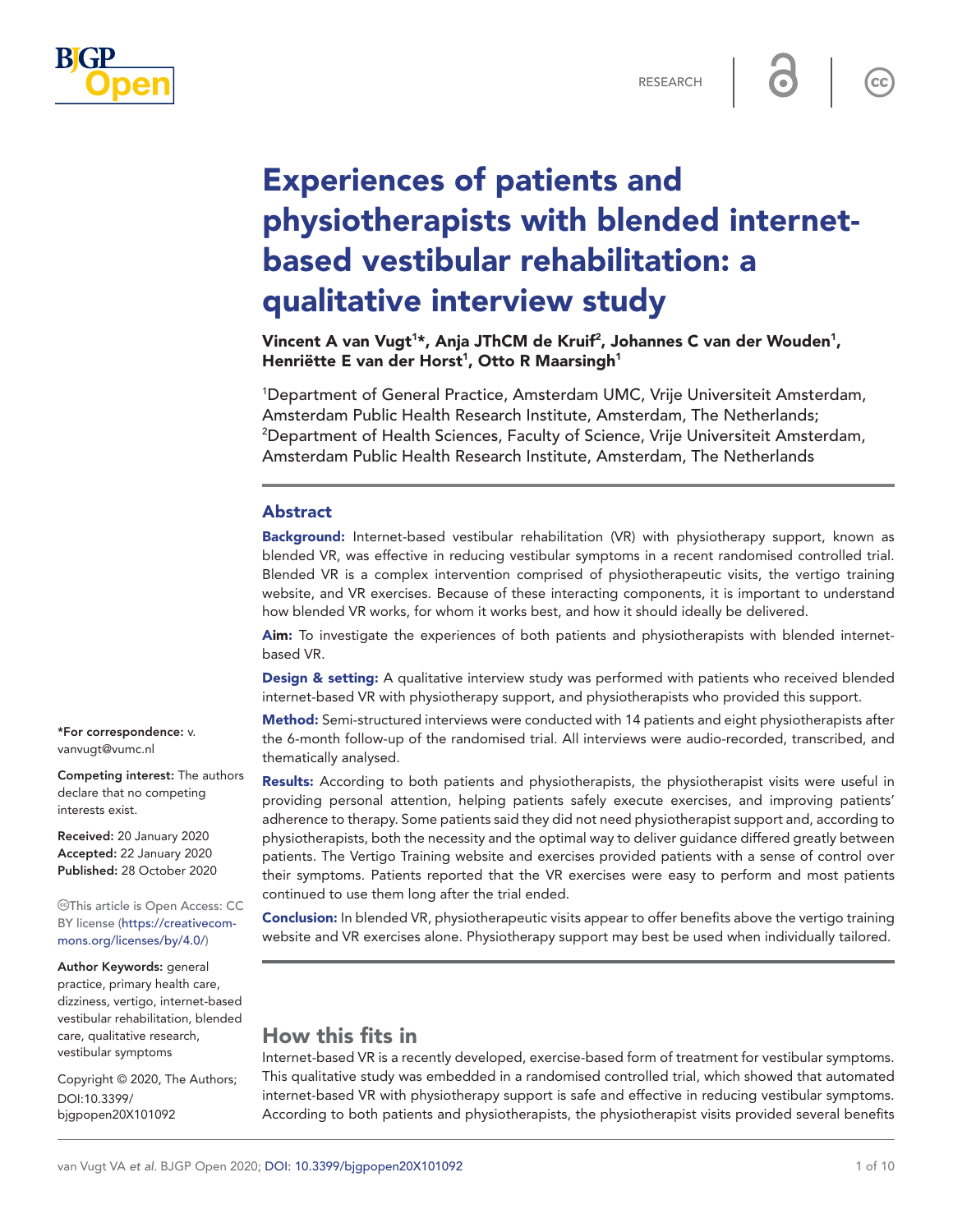

 $cc$ 

# Experiences of patients and physiotherapists with blended internetbased vestibular rehabilitation: a qualitative interview study

Vincent A van Vugt<sup>1</sup>\*, Anja JThCM de Kruif<sup>2</sup>, Johannes C van der Wouden<sup>1</sup>, Henriëtte E van der Horst<sup>1</sup>, Otto R Maarsingh<sup>1</sup>

1 Department of General Practice, Amsterdam UMC, Vrije Universiteit Amsterdam, Amsterdam Public Health Research Institute, Amsterdam, The Netherlands; 2 <sup>2</sup>Department of Health Sciences, Faculty of Science, Vrije Universiteit Amsterdam, Amsterdam Public Health Research Institute, Amsterdam, The Netherlands

#### Abstract

Background: Internet-based vestibular rehabilitation (VR) with physiotherapy support, known as blended VR, was effective in reducing vestibular symptoms in a recent randomised controlled trial. Blended VR is a complex intervention comprised of physiotherapeutic visits, the vertigo training website, and VR exercises. Because of these interacting components, it is important to understand how blended VR works, for whom it works best, and how it should ideally be delivered.

Aim: To investigate the experiences of both patients and physiotherapists with blended internetbased VR.

Design & setting: A qualitative interview study was performed with patients who received blended internet-based VR with physiotherapy support, and physiotherapists who provided this support.

Method: Semi-structured interviews were conducted with 14 patients and eight physiotherapists after the 6-month follow-up of the randomised trial. All interviews were audio-recorded, transcribed, and thematically analysed.

Results: According to both patients and physiotherapists, the physiotherapist visits were useful in providing personal attention, helping patients safely execute exercises, and improving patients' adherence to therapy. Some patients said they did not need physiotherapist support and, according to physiotherapists, both the necessity and the optimal way to deliver guidance differed greatly between patients. The Vertigo Training website and exercises provided patients with a sense of control over their symptoms. Patients reported that the VR exercises were easy to perform and most patients continued to use them long after the trial ended.

Conclusion: In blended VR, physiotherapeutic visits appear to offer benefits above the vertigo training website and VR exercises alone. Physiotherapy support may best be used when individually tailored.

# How this fits in

Internet-based VR is a recently developed, exercise-based form of treatment for vestibular symptoms. This qualitative study was embedded in a randomised controlled trial, which showed that automated internet-based VR with physiotherapy support is safe and effective in reducing vestibular symptoms. According to both patients and physiotherapists, the physiotherapist visits provided several benefits

\*For correspondence: [v.](mailto:v.vanvugt@vumc.nl) [vanvugt@vumc.nl](mailto:v.vanvugt@vumc.nl)

Competing interest: The authors declare that no competing interests exist.

Received: 20 January 2020 Accepted: 22 January 2020 Published: 28 October 2020

This article is Open Access: CC BY license [\(https://creativecom](https://creativecommons.org/licenses/by/4.0/)[mons.org/licenses/by/4.0/\)](https://creativecommons.org/licenses/by/4.0/)

Author Keywords: general practice, primary health care, dizziness, vertigo, internet-based vestibular rehabilitation, blended care, qualitative research, vestibular symptoms

Copyright © 2020, The Authors; DOI:10.3399/ bjgpopen20X101092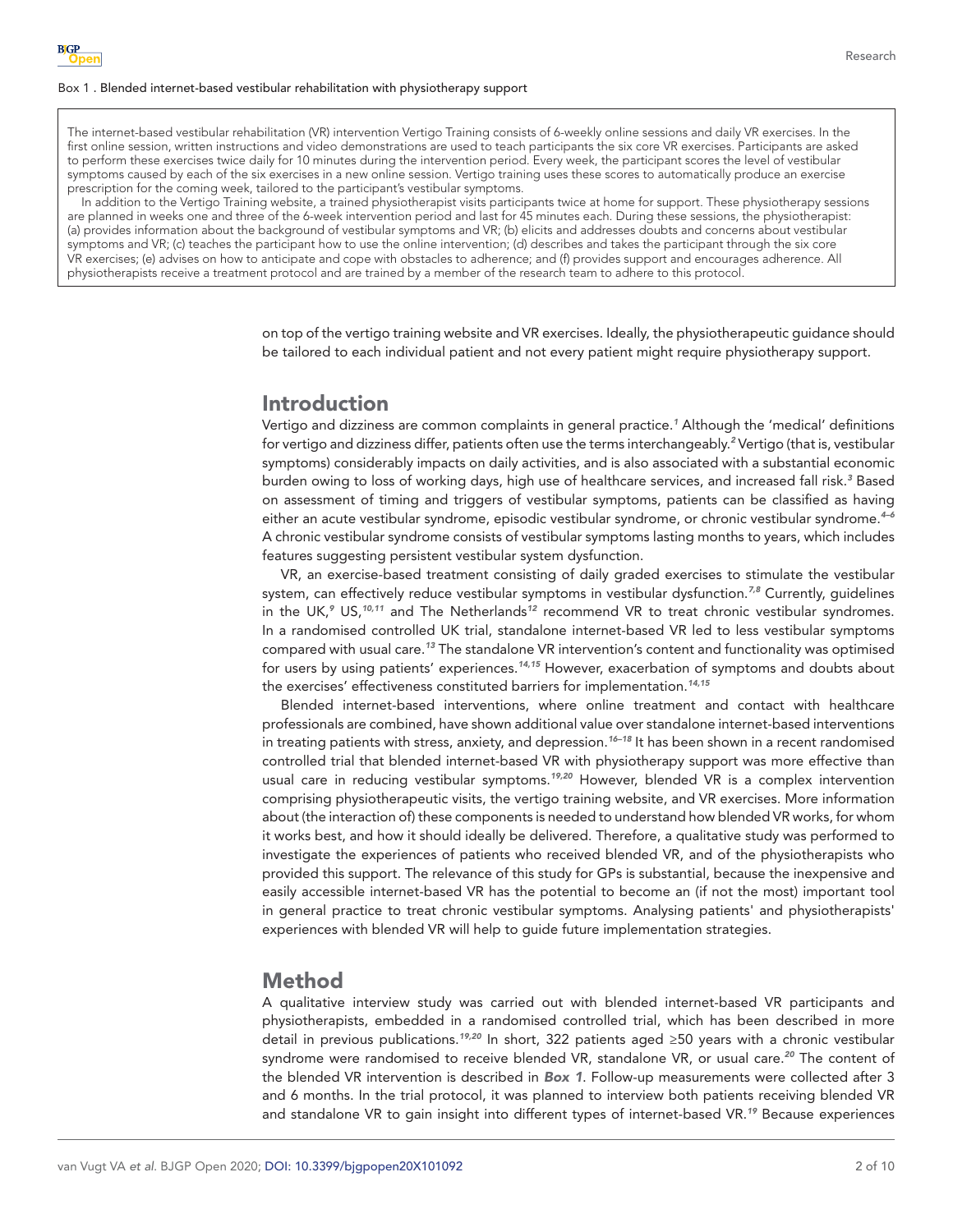#### Box 1 . Blended internet-based vestibular rehabilitation with physiotherapy support

<span id="page-1-0"></span>The internet-based vestibular rehabilitation (VR) intervention Vertigo Training consists of 6-weekly online sessions and daily VR exercises. In the first online session, written instructions and video demonstrations are used to teach participants the six core VR exercises. Participants are asked to perform these exercises twice daily for 10 minutes during the intervention period. Every week, the participant scores the level of vestibular symptoms caused by each of the six exercises in a new online session. Vertigo training uses these scores to automatically produce an exercise prescription for the coming week, tailored to the participant's vestibular symptoms.

In addition to the Vertigo Training website, a trained physiotherapist visits participants twice at home for support. These physiotherapy sessions are planned in weeks one and three of the 6-week intervention period and last for 45 minutes each. During these sessions, the physiotherapist: (a) provides information about the background of vestibular symptoms and VR; (b) elicits and addresses doubts and concerns about vestibular symptoms and VR; (c) teaches the participant how to use the online intervention; (d) describes and takes the participant through the six core VR exercises; (e) advises on how to anticipate and cope with obstacles to adherence; and (f) provides support and encourages adherence. All physiotherapists receive a treatment protocol and are trained by a member of the research team to adhere to this protocol.

> on top of the vertigo training website and VR exercises. Ideally, the physiotherapeutic guidance should be tailored to each individual patient and not every patient might require physiotherapy support.

# Introduction

Vertigo and dizziness are common complaints in general practice.*[1](#page-8-0)* Although the 'medical' definitions for vertigo and dizziness differ, patients often use the terms interchangeably.<sup>[2](#page-8-1)</sup> Vertigo (that is, vestibular symptoms) considerably impacts on daily activities, and is also associated with a substantial economic burden owing to loss of working days, high use of healthcare services, and increased fall risk.*[3](#page-8-2)* Based on assessment of timing and triggers of vestibular symptoms, patients can be classified as having either an acute vestibular syndrome, episodic vestibular syndrome, or chronic vestibular syndrome.*[4–6](#page-8-3)* A chronic vestibular syndrome consists of vestibular symptoms lasting months to years, which includes features suggesting persistent vestibular system dysfunction.

VR, an exercise-based treatment consisting of daily graded exercises to stimulate the vestibular system, can effectively reduce vestibular symptoms in vestibular dysfunction.*[7,8](#page-8-4)* Currently, guidelines in the UK,*[9](#page-9-0)* US,*[10,11](#page-9-1)* and The Netherlands*[12](#page-9-2)* recommend VR to treat chronic vestibular syndromes. In a randomised controlled UK trial, standalone internet-based VR led to less vestibular symptoms compared with usual care.*[13](#page-9-3)* The standalone VR intervention's content and functionality was optimised for users by using patients' experiences.*[14,15](#page-9-4)* However, exacerbation of symptoms and doubts about the exercises' effectiveness constituted barriers for implementation.*[14,15](#page-9-4)*

Blended internet-based interventions, where online treatment and contact with healthcare professionals are combined, have shown additional value over standalone internet-based interventions in treating patients with stress, anxiety, and depression.*[16–18](#page-9-5)* It has been shown in a recent randomised controlled trial that blended internet-based VR with physiotherapy support was more effective than usual care in reducing vestibular symptoms.*[19,20](#page-9-6)* However, blended VR is a complex intervention comprising physiotherapeutic visits, the vertigo training website, and VR exercises. More information about (the interaction of) these components is needed to understand how blended VR works, for whom it works best, and how it should ideally be delivered. Therefore, a qualitative study was performed to investigate the experiences of patients who received blended VR, and of the physiotherapists who provided this support. The relevance of this study for GPs is substantial, because the inexpensive and easily accessible internet-based VR has the potential to become an (if not the most) important tool in general practice to treat chronic vestibular symptoms. Analysing patients' and physiotherapists' experiences with blended VR will help to guide future implementation strategies.

# Method

A qualitative interview study was carried out with blended internet-based VR participants and physiotherapists, embedded in a randomised controlled trial, which has been described in more detail in previous publications.*[19,20](#page-9-6)* In short, 322 patients aged ≥50 years with a chronic vestibular syndrome were randomised to receive blended VR, standalone VR, or usual care.*[20](#page-9-7)* The content of the blended VR intervention is described in *[Box 1](#page-1-0)*. Follow-up measurements were collected after 3 and 6 months. In the trial protocol, it was planned to interview both patients receiving blended VR and standalone VR to gain insight into different types of internet-based VR.*[19](#page-9-6)* Because experiences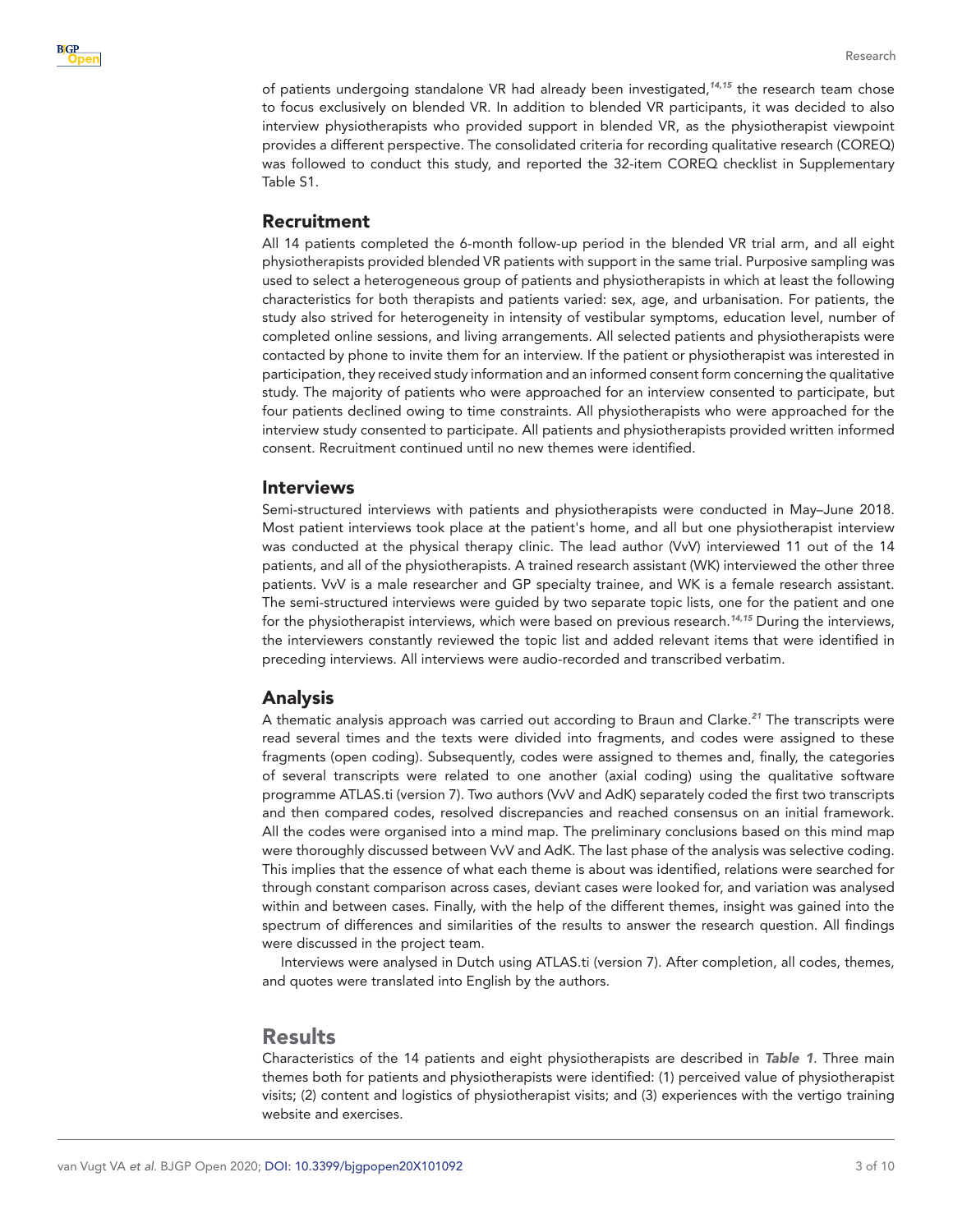

of patients undergoing standalone VR had already been investigated,*[14,15](#page-9-4)* the research team chose to focus exclusively on blended VR. In addition to blended VR participants, it was decided to also interview physiotherapists who provided support in blended VR, as the physiotherapist viewpoint provides a different perspective. The consolidated criteria for recording qualitative research (COREQ) was followed to conduct this study, and reported the 32-item COREQ checklist in Supplementary Table S1.

#### Recruitment

All 14 patients completed the 6-month follow-up period in the blended VR trial arm, and all eight physiotherapists provided blended VR patients with support in the same trial. Purposive sampling was used to select a heterogeneous group of patients and physiotherapists in which at least the following characteristics for both therapists and patients varied: sex, age, and urbanisation. For patients, the study also strived for heterogeneity in intensity of vestibular symptoms, education level, number of completed online sessions, and living arrangements. All selected patients and physiotherapists were contacted by phone to invite them for an interview. If the patient or physiotherapist was interested in participation, they received study information and an informed consent form concerning the qualitative study. The majority of patients who were approached for an interview consented to participate, but four patients declined owing to time constraints. All physiotherapists who were approached for the interview study consented to participate. All patients and physiotherapists provided written informed consent. Recruitment continued until no new themes were identified.

#### Interviews

Semi-structured interviews with patients and physiotherapists were conducted in May–June 2018. Most patient interviews took place at the patient's home, and all but one physiotherapist interview was conducted at the physical therapy clinic. The lead author (VvV) interviewed 11 out of the 14 patients, and all of the physiotherapists. A trained research assistant (WK) interviewed the other three patients. VvV is a male researcher and GP specialty trainee, and WK is a female research assistant. The semi-structured interviews were guided by two separate topic lists, one for the patient and one for the physiotherapist interviews, which were based on previous research.*[14,15](#page-9-4)* During the interviews, the interviewers constantly reviewed the topic list and added relevant items that were identified in preceding interviews. All interviews were audio-recorded and transcribed verbatim.

#### Analysis

A thematic analysis approach was carried out according to Braun and Clarke.*[21](#page-9-8)* The transcripts were read several times and the texts were divided into fragments, and codes were assigned to these fragments (open coding). Subsequently, codes were assigned to themes and, finally, the categories of several transcripts were related to one another (axial coding) using the qualitative software programme ATLAS.ti (version 7). Two authors (VvV and AdK) separately coded the first two transcripts and then compared codes, resolved discrepancies and reached consensus on an initial framework. All the codes were organised into a mind map. The preliminary conclusions based on this mind map were thoroughly discussed between VvV and AdK. The last phase of the analysis was selective coding. This implies that the essence of what each theme is about was identified, relations were searched for through constant comparison across cases, deviant cases were looked for, and variation was analysed within and between cases. Finally, with the help of the different themes, insight was gained into the spectrum of differences and similarities of the results to answer the research question. All findings were discussed in the project team.

Interviews were analysed in Dutch using ATLAS.ti (version 7). After completion, all codes, themes, and quotes were translated into English by the authors.

### Results

Characteristics of the 14 patients and eight physiotherapists are described in *[Table 1](#page-3-0)*. Three main themes both for patients and physiotherapists were identified: (1) perceived value of physiotherapist visits; (2) content and logistics of physiotherapist visits; and (3) experiences with the vertigo training website and exercises.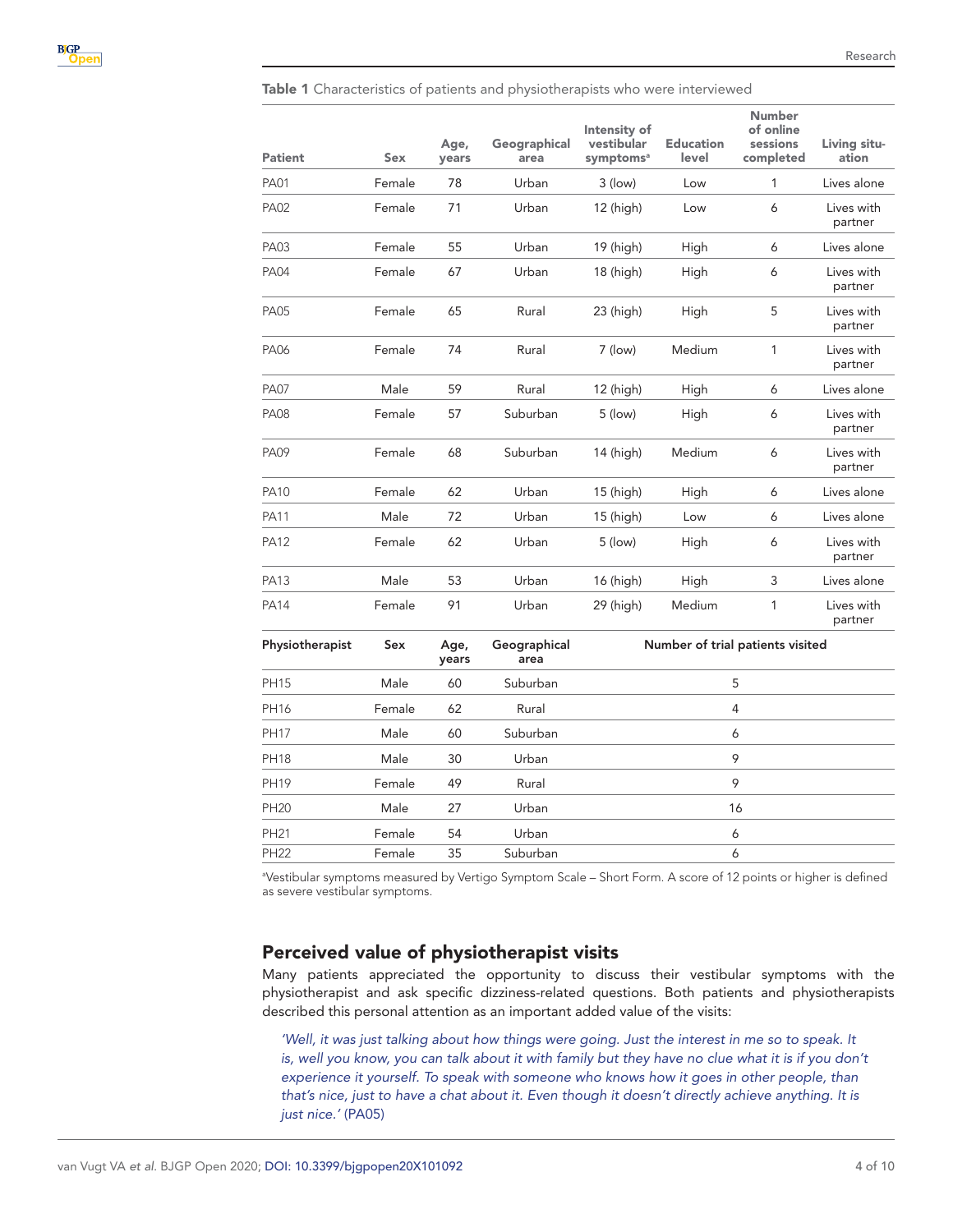<span id="page-3-0"></span>Table 1 Characteristics of patients and physiotherapists who were interviewed

| <b>Patient</b>  | Sex    | Age,<br>years | Geographical<br>area | Intensity of<br>vestibular<br>symptoms <sup>a</sup> | <b>Education</b><br>level | <b>Number</b><br>of online<br>sessions<br>completed | Living situ-<br>ation |
|-----------------|--------|---------------|----------------------|-----------------------------------------------------|---------------------------|-----------------------------------------------------|-----------------------|
| <b>PA01</b>     | Female | 78            | Urban                | $3$ (low)                                           | Low                       | 1                                                   | Lives alone           |
| <b>PA02</b>     | Female | 71            | Urban                | 12 (high)                                           | Low                       | 6                                                   | Lives with<br>partner |
| PA03            | Female | 55            | Urban                | 19 (high)                                           | High                      | 6                                                   | Lives alone           |
| <b>PA04</b>     | Female | 67            | Urban                | 18 (high)                                           | High                      | 6                                                   | Lives with<br>partner |
| <b>PA05</b>     | Female | 65            | Rural                | 23 (high)                                           | High                      | 5                                                   | Lives with<br>partner |
| <b>PA06</b>     | Female | 74            | Rural                | 7 (low)                                             | Medium                    | 1                                                   | Lives with<br>partner |
| <b>PA07</b>     | Male   | 59            | Rural                | 12 (high)                                           | High                      | 6                                                   | Lives alone           |
| <b>PA08</b>     | Female | 57            | Suburban             | 5 (low)                                             | High                      | 6                                                   | Lives with<br>partner |
| <b>PA09</b>     | Female | 68            | Suburban             | 14 (high)                                           | Medium                    | 6                                                   | Lives with<br>partner |
| <b>PA10</b>     | Female | 62            | Urban                | 15 (high)                                           | High                      | 6                                                   | Lives alone           |
| PA11            | Male   | 72            | Urban                | 15 (high)                                           | Low                       | 6                                                   | Lives alone           |
| <b>PA12</b>     | Female | 62            | Urban                | 5 (low)                                             | High                      | 6                                                   | Lives with<br>partner |
| <b>PA13</b>     | Male   | 53            | Urban                | 16 (high)                                           | High                      | 3                                                   | Lives alone           |
| PA14            | Female | 91            | Urban                | 29 (high)                                           | Medium                    | 1                                                   | Lives with<br>partner |
| Physiotherapist | Sex    | Age,<br>years | Geographical<br>area | Number of trial patients visited                    |                           |                                                     |                       |
| <b>PH15</b>     | Male   | 60            | Suburban             | 5                                                   |                           |                                                     |                       |
| PH16            | Female | 62            | Rural                | 4                                                   |                           |                                                     |                       |
| <b>PH17</b>     | Male   | 60            | Suburban             | 6                                                   |                           |                                                     |                       |
| <b>PH18</b>     | Male   | 30            | Urban                | 9                                                   |                           |                                                     |                       |
| PH19            | Female | 49            | Rural                | 9                                                   |                           |                                                     |                       |
| PH20            | Male   | 27            | Urban                | 16                                                  |                           |                                                     |                       |
| PH21            | Female | 54            | Urban                | 6                                                   |                           |                                                     |                       |
| <b>PH22</b>     | Female | 35            | Suburban             |                                                     |                           | 6                                                   |                       |

a Vestibular symptoms measured by Vertigo Symptom Scale – Short Form. A score of 12 points or higher is defined as severe vestibular symptoms.

## Perceived value of physiotherapist visits

Many patients appreciated the opportunity to discuss their vestibular symptoms with the physiotherapist and ask specific dizziness-related questions. Both patients and physiotherapists described this personal attention as an important added value of the visits:

'Well, it was just talking about how things were going. Just the interest in me so to speak. It is, well you know, you can talk about it with family but they have no clue what it is if you don't experience it yourself. To speak with someone who knows how it goes in other people, than *that's nice, just to have a chat about it. Even though it doesn't directly achieve anything. It is just nice.'* (PA05)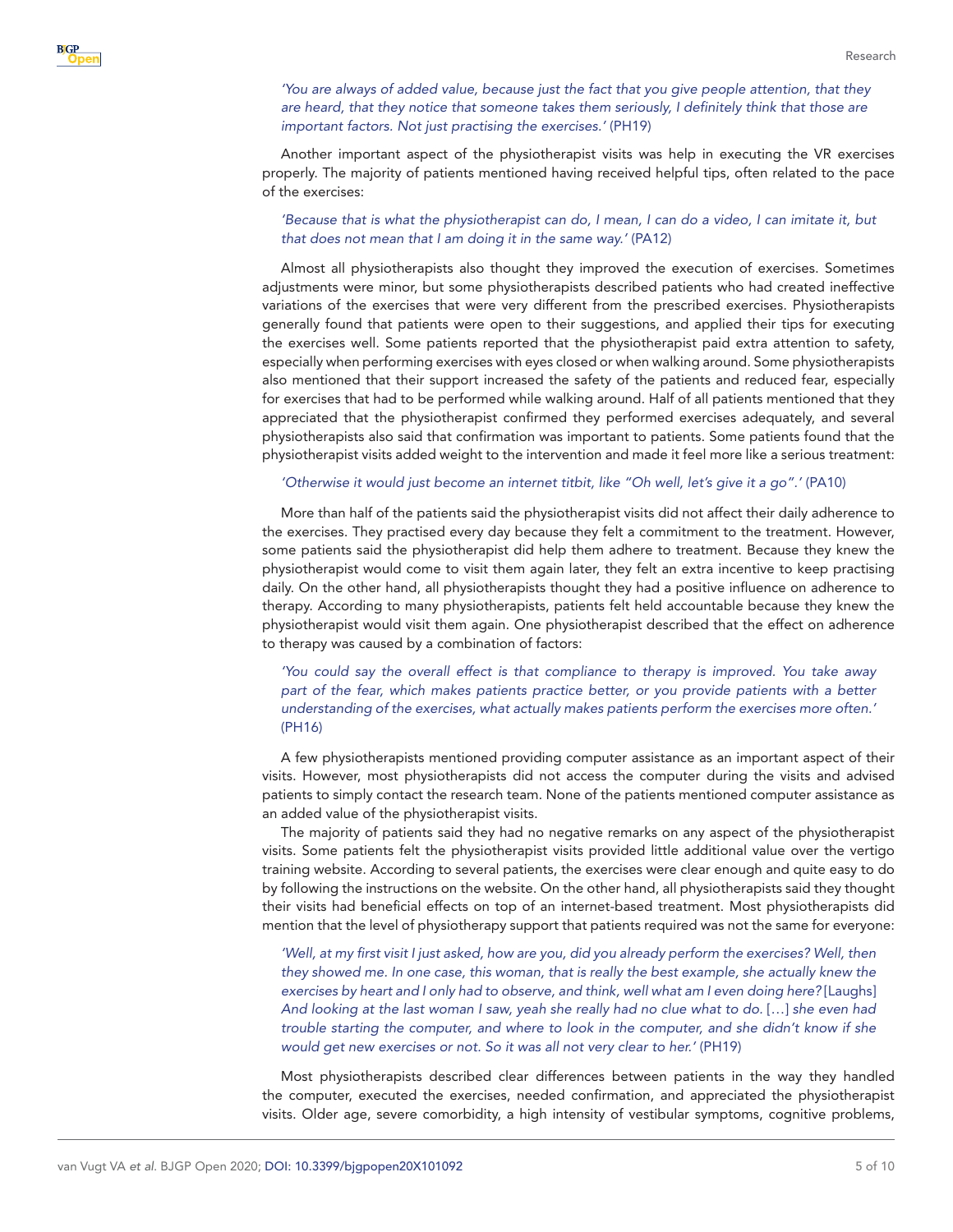#### *'You are always of added value, because just the fact that you give people attention, that they are heard, that they notice that someone takes them seriously, I definitely think that those are important factors. Not just practising the exercises.'* (PH19)

Another important aspect of the physiotherapist visits was help in executing the VR exercises properly. The majority of patients mentioned having received helpful tips, often related to the pace of the exercises:

#### *'Because that is what the physiotherapist can do, I mean, I can do a video, I can imitate it, but that does not mean that I am doing it in the same way.'* (PA12)

Almost all physiotherapists also thought they improved the execution of exercises. Sometimes adjustments were minor, but some physiotherapists described patients who had created ineffective variations of the exercises that were very different from the prescribed exercises. Physiotherapists generally found that patients were open to their suggestions, and applied their tips for executing the exercises well. Some patients reported that the physiotherapist paid extra attention to safety, especially when performing exercises with eyes closed or when walking around. Some physiotherapists also mentioned that their support increased the safety of the patients and reduced fear, especially for exercises that had to be performed while walking around. Half of all patients mentioned that they appreciated that the physiotherapist confirmed they performed exercises adequately, and several physiotherapists also said that confirmation was important to patients. Some patients found that the physiotherapist visits added weight to the intervention and made it feel more like a serious treatment:

#### *'Otherwise it would just become an internet titbit, like "Oh well, let's give it a go".'* (PA10)

More than half of the patients said the physiotherapist visits did not affect their daily adherence to the exercises. They practised every day because they felt a commitment to the treatment. However, some patients said the physiotherapist did help them adhere to treatment. Because they knew the physiotherapist would come to visit them again later, they felt an extra incentive to keep practising daily. On the other hand, all physiotherapists thought they had a positive influence on adherence to therapy. According to many physiotherapists, patients felt held accountable because they knew the physiotherapist would visit them again. One physiotherapist described that the effect on adherence to therapy was caused by a combination of factors:

*'You could say the overall effect is that compliance to therapy is improved. You take away part of the fear, which makes patients practice better, or you provide patients with a better understanding of the exercises, what actually makes patients perform the exercises more often.'* (PH16)

A few physiotherapists mentioned providing computer assistance as an important aspect of their visits. However, most physiotherapists did not access the computer during the visits and advised patients to simply contact the research team. None of the patients mentioned computer assistance as an added value of the physiotherapist visits.

The majority of patients said they had no negative remarks on any aspect of the physiotherapist visits. Some patients felt the physiotherapist visits provided little additional value over the vertigo training website. According to several patients, the exercises were clear enough and quite easy to do by following the instructions on the website. On the other hand, all physiotherapists said they thought their visits had beneficial effects on top of an internet-based treatment. Most physiotherapists did mention that the level of physiotherapy support that patients required was not the same for everyone:

'Well, at my first visit I just asked, how are you, did you already perform the exercises? Well, then *they showed me. In one case, this woman, that is really the best example, she actually knew the exercises by heart and I only had to observe, and think, well what am I even doing here?* [Laughs] *And looking at the last woman I saw, yeah she really had no clue what to do.* […] *she even had trouble starting the computer, and where to look in the computer, and she didn't know if she would get new exercises or not. So it was all not very clear to her.'* (PH19)

Most physiotherapists described clear differences between patients in the way they handled the computer, executed the exercises, needed confirmation, and appreciated the physiotherapist visits. Older age, severe comorbidity, a high intensity of vestibular symptoms, cognitive problems,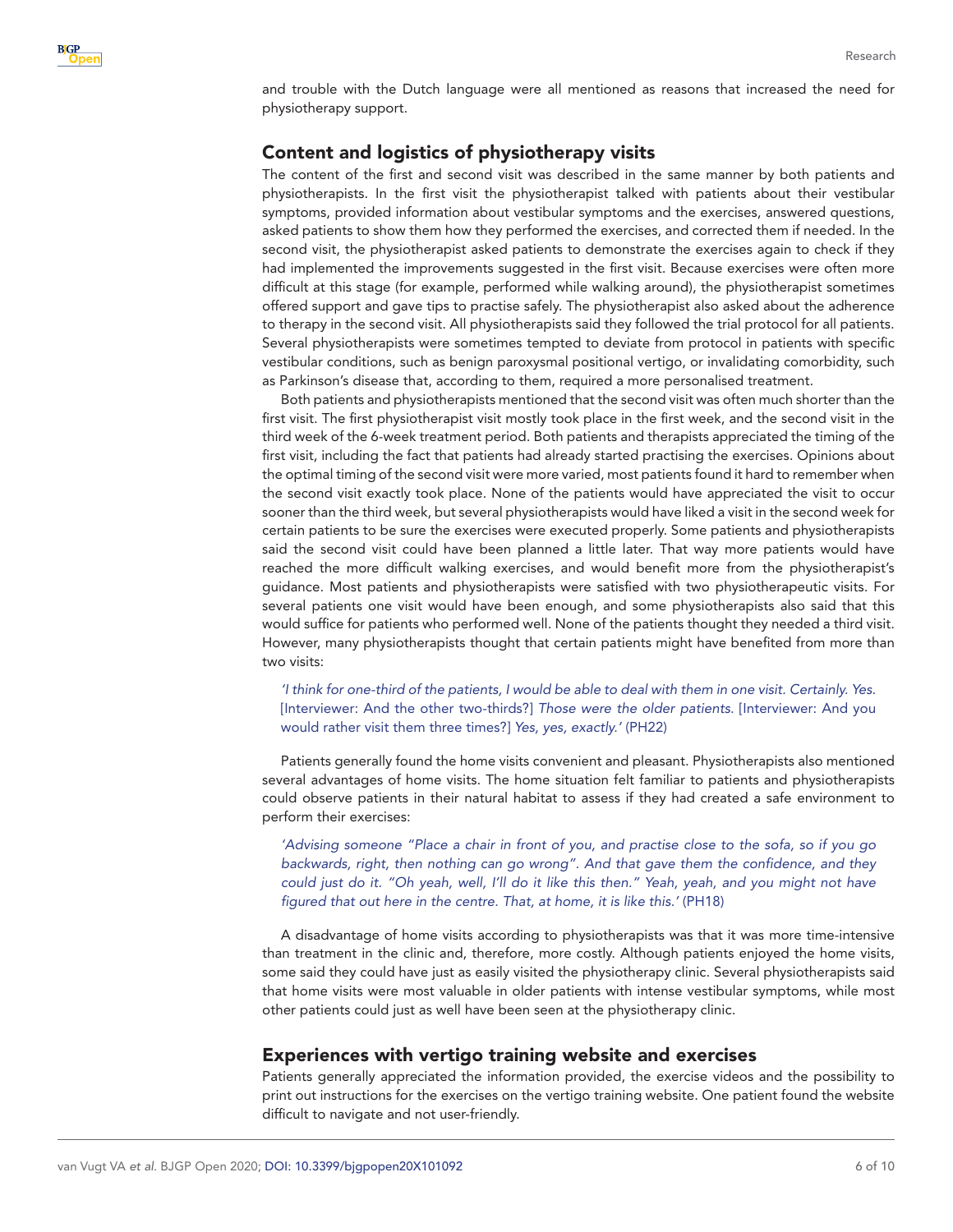and trouble with the Dutch language were all mentioned as reasons that increased the need for physiotherapy support.

## Content and logistics of physiotherapy visits

The content of the first and second visit was described in the same manner by both patients and physiotherapists. In the first visit the physiotherapist talked with patients about their vestibular symptoms, provided information about vestibular symptoms and the exercises, answered questions, asked patients to show them how they performed the exercises, and corrected them if needed. In the second visit, the physiotherapist asked patients to demonstrate the exercises again to check if they had implemented the improvements suggested in the first visit. Because exercises were often more difficult at this stage (for example, performed while walking around), the physiotherapist sometimes offered support and gave tips to practise safely. The physiotherapist also asked about the adherence to therapy in the second visit. All physiotherapists said they followed the trial protocol for all patients. Several physiotherapists were sometimes tempted to deviate from protocol in patients with specific vestibular conditions, such as benign paroxysmal positional vertigo, or invalidating comorbidity, such as Parkinson's disease that, according to them, required a more personalised treatment.

Both patients and physiotherapists mentioned that the second visit was often much shorter than the first visit. The first physiotherapist visit mostly took place in the first week, and the second visit in the third week of the 6-week treatment period. Both patients and therapists appreciated the timing of the first visit, including the fact that patients had already started practising the exercises. Opinions about the optimal timing of the second visit were more varied, most patients found it hard to remember when the second visit exactly took place. None of the patients would have appreciated the visit to occur sooner than the third week, but several physiotherapists would have liked a visit in the second week for certain patients to be sure the exercises were executed properly. Some patients and physiotherapists said the second visit could have been planned a little later. That way more patients would have reached the more difficult walking exercises, and would benefit more from the physiotherapist's guidance. Most patients and physiotherapists were satisfied with two physiotherapeutic visits. For several patients one visit would have been enough, and some physiotherapists also said that this would suffice for patients who performed well. None of the patients thought they needed a third visit. However, many physiotherapists thought that certain patients might have benefited from more than two visits:

*'I think for one-third of the patients, I would be able to deal with them in one visit. Certainly. Yes*. [Interviewer: And the other two-thirds?] *Those were the older patients*. [Interviewer: And you would rather visit them three times?] *Yes, yes, exactly.'* (PH22)

Patients generally found the home visits convenient and pleasant. Physiotherapists also mentioned several advantages of home visits. The home situation felt familiar to patients and physiotherapists could observe patients in their natural habitat to assess if they had created a safe environment to perform their exercises:

*'Advising someone "Place a chair in front of you, and practise close to the sofa, so if you go backwards, right, then nothing can go wrong". And that gave them the confidence, and they could just do it. "Oh yeah, well, I'll do it like this then." Yeah, yeah, and you might not have figured that out here in the centre. That, at home, it is like this.'* (PH18)

A disadvantage of home visits according to physiotherapists was that it was more time-intensive than treatment in the clinic and, therefore, more costly. Although patients enjoyed the home visits, some said they could have just as easily visited the physiotherapy clinic. Several physiotherapists said that home visits were most valuable in older patients with intense vestibular symptoms, while most other patients could just as well have been seen at the physiotherapy clinic.

#### Experiences with vertigo training website and exercises

Patients generally appreciated the information provided, the exercise videos and the possibility to print out instructions for the exercises on the vertigo training website. One patient found the website difficult to navigate and not user-friendly.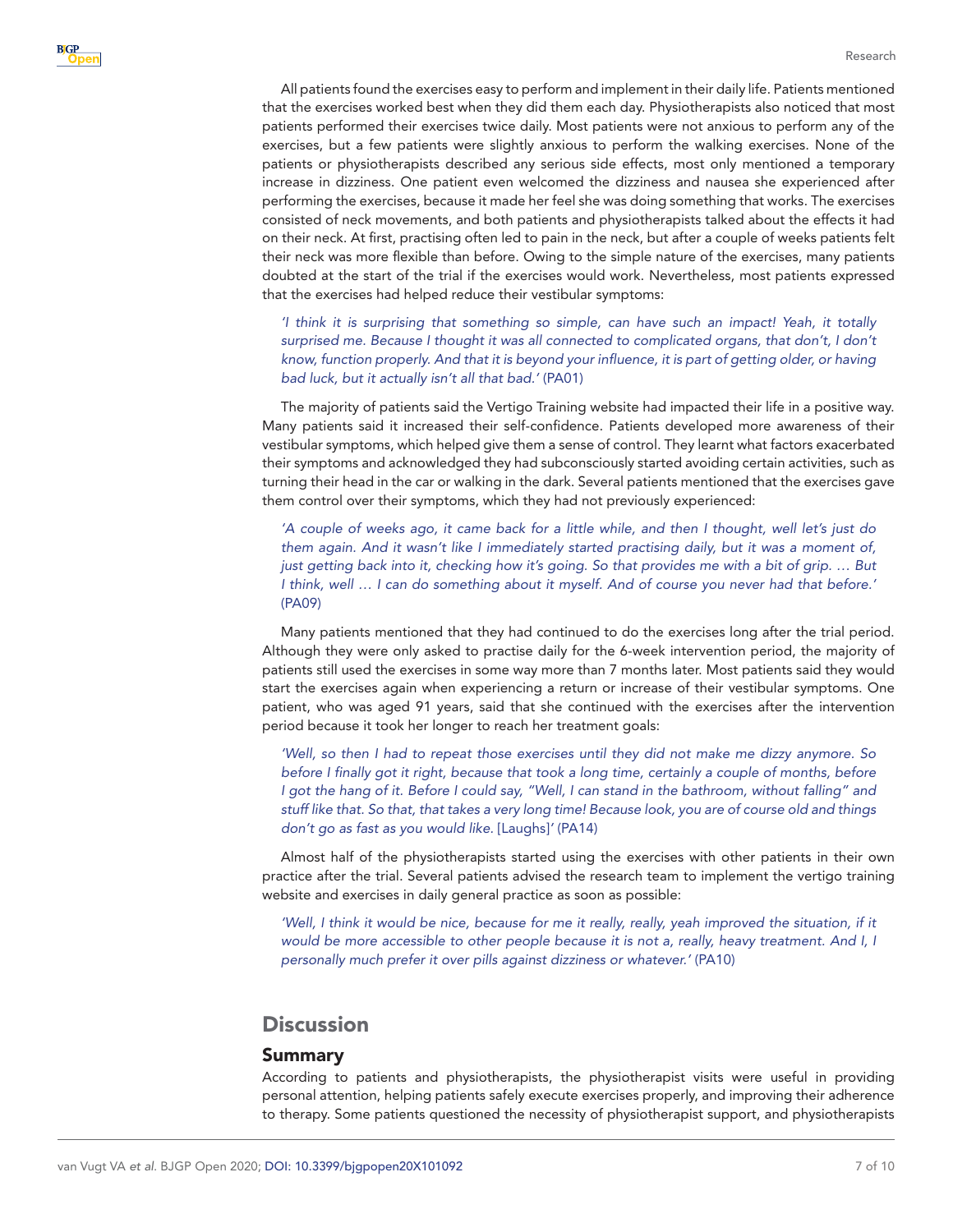All patients found the exercises easy to perform and implement in their daily life. Patients mentioned that the exercises worked best when they did them each day. Physiotherapists also noticed that most patients performed their exercises twice daily. Most patients were not anxious to perform any of the exercises, but a few patients were slightly anxious to perform the walking exercises. None of the patients or physiotherapists described any serious side effects, most only mentioned a temporary increase in dizziness. One patient even welcomed the dizziness and nausea she experienced after performing the exercises, because it made her feel she was doing something that works. The exercises consisted of neck movements, and both patients and physiotherapists talked about the effects it had on their neck. At first, practising often led to pain in the neck, but after a couple of weeks patients felt their neck was more flexible than before. Owing to the simple nature of the exercises, many patients doubted at the start of the trial if the exercises would work. Nevertheless, most patients expressed that the exercises had helped reduce their vestibular symptoms:

*'I think it is surprising that something so simple, can have such an impact! Yeah, it totally*  surprised me. Because I thought it was all connected to complicated organs, that don't, I don't *know, function properly. And that it is beyond your influence, it is part of getting older, or having bad luck, but it actually isn't all that bad.'* (PA01)

The majority of patients said the Vertigo Training website had impacted their life in a positive way. Many patients said it increased their self-confidence. Patients developed more awareness of their vestibular symptoms, which helped give them a sense of control. They learnt what factors exacerbated their symptoms and acknowledged they had subconsciously started avoiding certain activities, such as turning their head in the car or walking in the dark. Several patients mentioned that the exercises gave them control over their symptoms, which they had not previously experienced:

*'A couple of weeks ago, it came back for a little while, and then I thought, well let's just do them again. And it wasn't like I immediately started practising daily, but it was a moment of, just getting back into it, checking how it's going. So that provides me with a bit of grip. … But I think, well … I can do something about it myself. And of course you never had that before.'* (PA09)

Many patients mentioned that they had continued to do the exercises long after the trial period. Although they were only asked to practise daily for the 6-week intervention period, the majority of patients still used the exercises in some way more than 7 months later. Most patients said they would start the exercises again when experiencing a return or increase of their vestibular symptoms. One patient, who was aged 91 years, said that she continued with the exercises after the intervention period because it took her longer to reach her treatment goals:

*'Well, so then I had to repeat those exercises until they did not make me dizzy anymore. So before I finally got it right, because that took a long time, certainly a couple of months, before I got the hang of it. Before I could say, "Well, I can stand in the bathroom, without falling" and stuff like that. So that, that takes a very long time! Because look, you are of course old and things don't go as fast as you would like.* [Laughs]*'* (PA14)

Almost half of the physiotherapists started using the exercises with other patients in their own practice after the trial. Several patients advised the research team to implement the vertigo training website and exercises in daily general practice as soon as possible:

'Well, I think it would be nice, because for me it really, really, yeah improved the situation, if it *would be more accessible to other people because it is not a, really, heavy treatment. And I, I personally much prefer it over pills against dizziness or whatever.'* (PA10)

# **Discussion**

#### Summary

According to patients and physiotherapists, the physiotherapist visits were useful in providing personal attention, helping patients safely execute exercises properly, and improving their adherence to therapy. Some patients questioned the necessity of physiotherapist support, and physiotherapists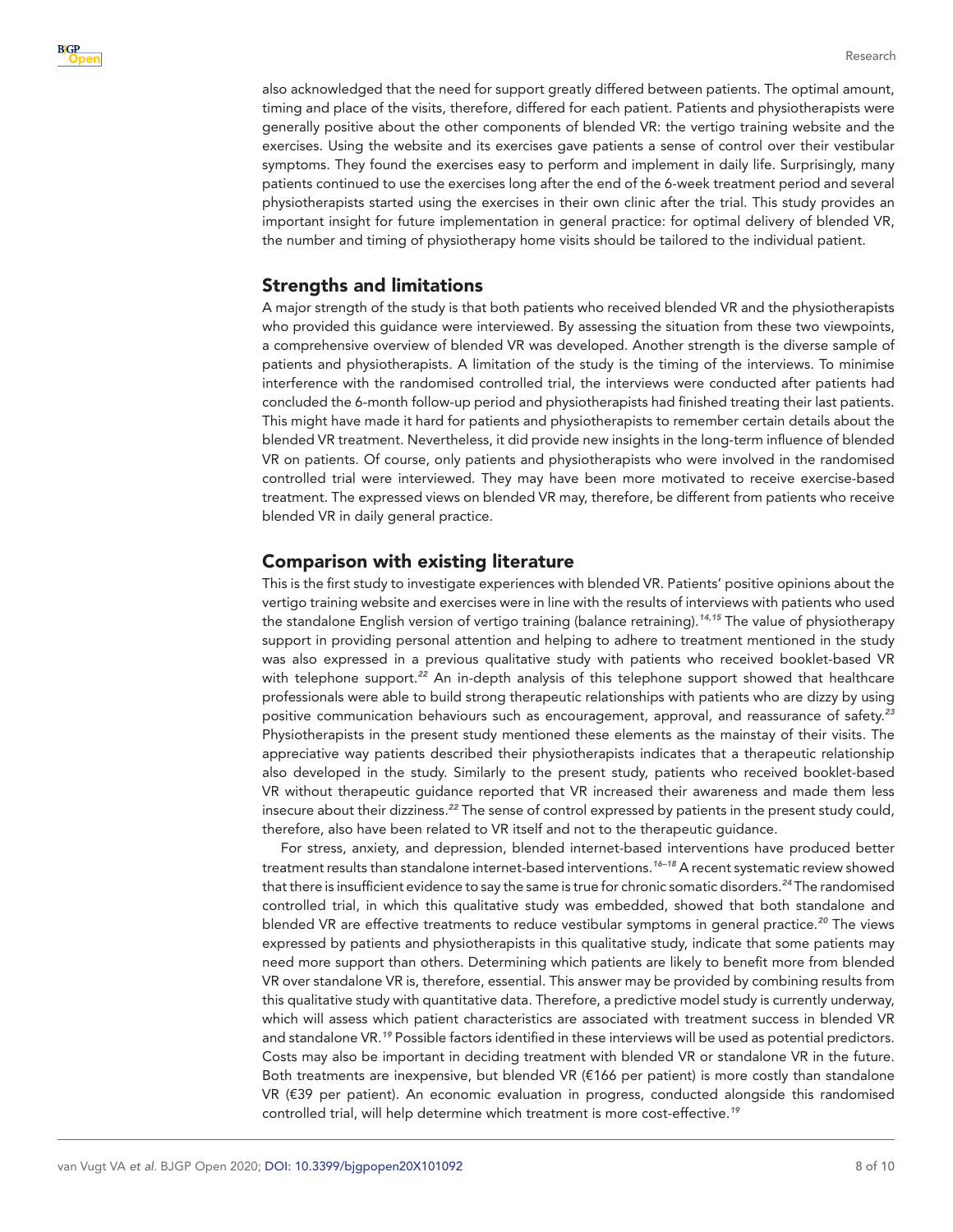also acknowledged that the need for support greatly differed between patients. The optimal amount, timing and place of the visits, therefore, differed for each patient. Patients and physiotherapists were generally positive about the other components of blended VR: the vertigo training website and the exercises. Using the website and its exercises gave patients a sense of control over their vestibular symptoms. They found the exercises easy to perform and implement in daily life. Surprisingly, many patients continued to use the exercises long after the end of the 6-week treatment period and several physiotherapists started using the exercises in their own clinic after the trial. This study provides an important insight for future implementation in general practice: for optimal delivery of blended VR, the number and timing of physiotherapy home visits should be tailored to the individual patient.

## Strengths and limitations

A major strength of the study is that both patients who received blended VR and the physiotherapists who provided this guidance were interviewed. By assessing the situation from these two viewpoints, a comprehensive overview of blended VR was developed. Another strength is the diverse sample of patients and physiotherapists. A limitation of the study is the timing of the interviews. To minimise interference with the randomised controlled trial, the interviews were conducted after patients had concluded the 6-month follow-up period and physiotherapists had finished treating their last patients. This might have made it hard for patients and physiotherapists to remember certain details about the blended VR treatment. Nevertheless, it did provide new insights in the long-term influence of blended VR on patients. Of course, only patients and physiotherapists who were involved in the randomised controlled trial were interviewed. They may have been more motivated to receive exercise-based treatment. The expressed views on blended VR may, therefore, be different from patients who receive blended VR in daily general practice.

## Comparison with existing literature

This is the first study to investigate experiences with blended VR. Patients' positive opinions about the vertigo training website and exercises were in line with the results of interviews with patients who used the standalone English version of vertigo training (balance retraining).*[14,15](#page-9-4)* The value of physiotherapy support in providing personal attention and helping to adhere to treatment mentioned in the study was also expressed in a previous qualitative study with patients who received booklet-based VR with telephone support.<sup>[22](#page-9-9)</sup> An in-depth analysis of this telephone support showed that healthcare professionals were able to build strong therapeutic relationships with patients who are dizzy by using positive communication behaviours such as encouragement, approval, and reassurance of safety.*[23](#page-9-10)* Physiotherapists in the present study mentioned these elements as the mainstay of their visits. The appreciative way patients described their physiotherapists indicates that a therapeutic relationship also developed in the study. Similarly to the present study, patients who received booklet-based VR without therapeutic guidance reported that VR increased their awareness and made them less insecure about their dizziness.*[22](#page-9-9)* The sense of control expressed by patients in the present study could, therefore, also have been related to VR itself and not to the therapeutic guidance.

For stress, anxiety, and depression, blended internet-based interventions have produced better treatment results than standalone internet-based interventions.*[16–18](#page-9-5)* A recent systematic review showed that there is insufficient evidence to say the same is true for chronic somatic disorders.*[24](#page-9-11)* The randomised controlled trial, in which this qualitative study was embedded, showed that both standalone and blended VR are effective treatments to reduce vestibular symptoms in general practice.*[20](#page-9-7)* The views expressed by patients and physiotherapists in this qualitative study, indicate that some patients may need more support than others. Determining which patients are likely to benefit more from blended VR over standalone VR is, therefore, essential. This answer may be provided by combining results from this qualitative study with quantitative data. Therefore, a predictive model study is currently underway, which will assess which patient characteristics are associated with treatment success in blended VR and standalone VR.*[19](#page-9-6)* Possible factors identified in these interviews will be used as potential predictors. Costs may also be important in deciding treatment with blended VR or standalone VR in the future. Both treatments are inexpensive, but blended VR (€166 per patient) is more costly than standalone VR (€39 per patient). An economic evaluation in progress, conducted alongside this randomised controlled trial, will help determine which treatment is more cost-effective.*[19](#page-9-6)*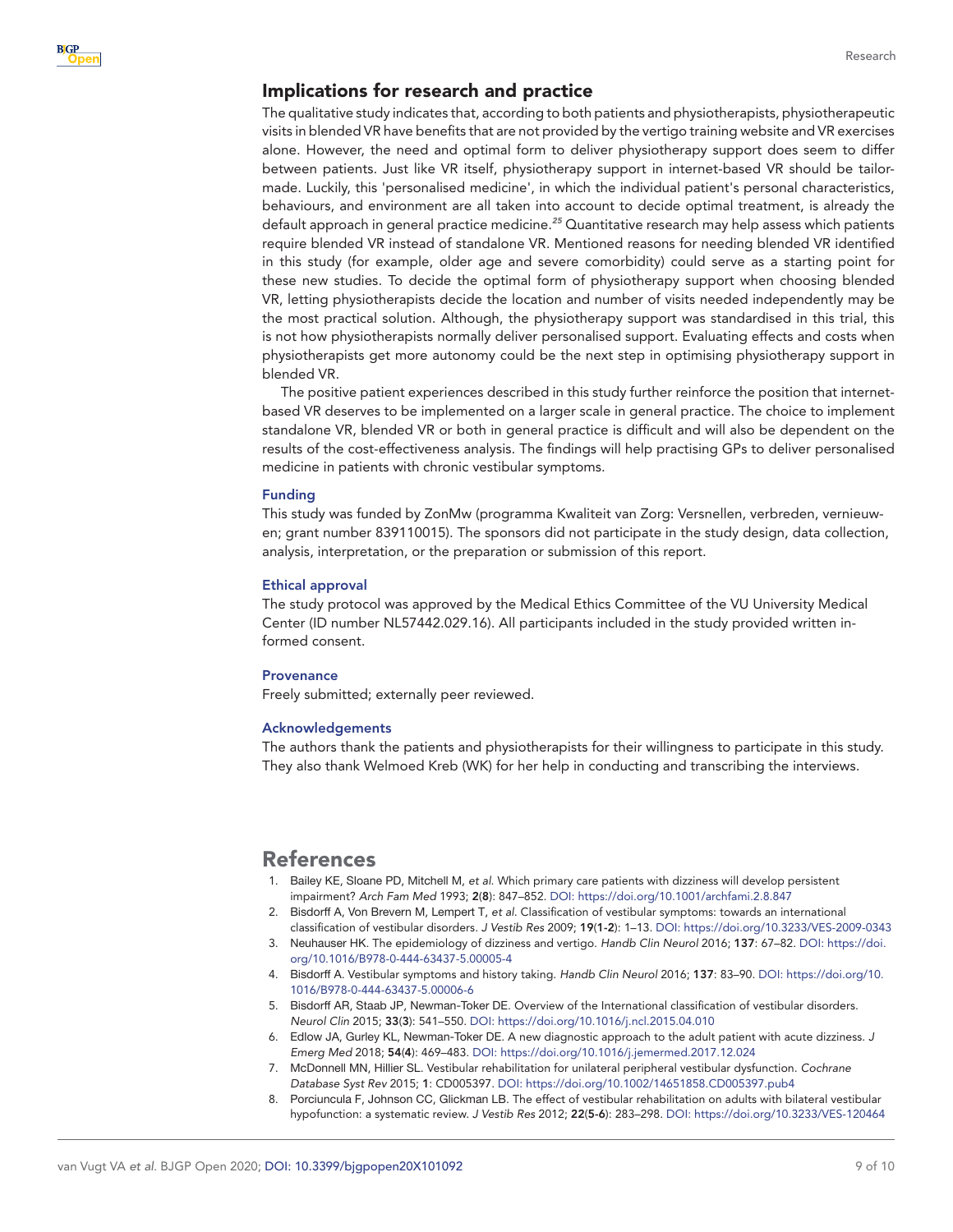#### Implications for research and practice

The qualitative study indicates that, according to both patients and physiotherapists, physiotherapeutic visits in blended VR have benefits that are not provided by the vertigo training website and VR exercises alone. However, the need and optimal form to deliver physiotherapy support does seem to differ between patients. Just like VR itself, physiotherapy support in internet-based VR should be tailormade. Luckily, this 'personalised medicine', in which the individual patient's personal characteristics, behaviours, and environment are all taken into account to decide optimal treatment, is already the default approach in general practice medicine.*[25](#page-9-12)* Quantitative research may help assess which patients require blended VR instead of standalone VR. Mentioned reasons for needing blended VR identified in this study (for example, older age and severe comorbidity) could serve as a starting point for these new studies. To decide the optimal form of physiotherapy support when choosing blended VR, letting physiotherapists decide the location and number of visits needed independently may be the most practical solution. Although, the physiotherapy support was standardised in this trial, this is not how physiotherapists normally deliver personalised support. Evaluating effects and costs when physiotherapists get more autonomy could be the next step in optimising physiotherapy support in blended VR.

The positive patient experiences described in this study further reinforce the position that internetbased VR deserves to be implemented on a larger scale in general practice. The choice to implement standalone VR, blended VR or both in general practice is difficult and will also be dependent on the results of the cost-effectiveness analysis. The findings will help practising GPs to deliver personalised medicine in patients with chronic vestibular symptoms.

#### Funding

This study was funded by ZonMw (programma Kwaliteit van Zorg: Versnellen, verbreden, vernieuwen; grant number 839110015). The sponsors did not participate in the study design, data collection, analysis, interpretation, or the preparation or submission of this report.

#### Ethical approval

The study protocol was approved by the Medical Ethics Committee of the VU University Medical Center (ID number NL57442.029.16). All participants included in the study provided written informed consent.

#### **Provenance**

Freely submitted; externally peer reviewed.

#### Acknowledgements

The authors thank the patients and physiotherapists for their willingness to participate in this study. They also thank Welmoed Kreb (WK) for her help in conducting and transcribing the interviews.

## References

- <span id="page-8-0"></span>1. Bailey KE, Sloane PD, Mitchell M, *et al*. Which primary care patients with dizziness will develop persistent impairment? *Arch Fam Med* 1993; 2(8): 847–852. DOI:<https://doi.org/10.1001/archfami.2.8.847>
- <span id="page-8-1"></span>2. Bisdorff A, Von Brevern M, Lempert T, *et al*. Classification of vestibular symptoms: towards an international
- <span id="page-8-2"></span>classification of vestibular disorders. *J Vestib Res* 2009; 19(1-2): 1–13. DOI: <https://doi.org/10.3233/VES-2009-0343> 3. Neuhauser HK. The epidemiology of dizziness and vertigo. *Handb Clin Neurol* 2016; 137: 67–82. DOI: [https://doi.](https://doi.org/10.1016/B978-0-444-63437-5.00005-4) [org/10.1016/B978-0-444-63437-5.00005-4](https://doi.org/10.1016/B978-0-444-63437-5.00005-4)
- <span id="page-8-3"></span>4. Bisdorff A. Vestibular symptoms and history taking. *Handb Clin Neurol* 2016; 137: 83–90. DOI: [https://doi.org/10.](https://doi.org/10.1016/B978-0-444-63437-5.00006-6) [1016/B978-0-444-63437-5.00006-6](https://doi.org/10.1016/B978-0-444-63437-5.00006-6)
- 5. Bisdorff AR, Staab JP, Newman-Toker DE. Overview of the International classification of vestibular disorders. *Neurol Clin* 2015; 33(3): 541–550. DOI:<https://doi.org/10.1016/j.ncl.2015.04.010>
- 6. Edlow JA, Gurley KL, Newman-Toker DE. A new diagnostic approach to the adult patient with acute dizziness. *J Emerg Med* 2018; 54(4): 469–483. DOI: <https://doi.org/10.1016/j.jemermed.2017.12.024>
- <span id="page-8-4"></span>7. McDonnell MN, Hillier SL. Vestibular rehabilitation for unilateral peripheral vestibular dysfunction. *Cochrane Database Syst Rev* 2015; 1: CD005397. DOI:<https://doi.org/10.1002/14651858.CD005397.pub4>
- 8. Porciuncula F, Johnson CC, Glickman LB. The effect of vestibular rehabilitation on adults with bilateral vestibular hypofunction: a systematic review. *J Vestib Res* 2012; 22(5-6): 283–298. DOI:<https://doi.org/10.3233/VES-120464>